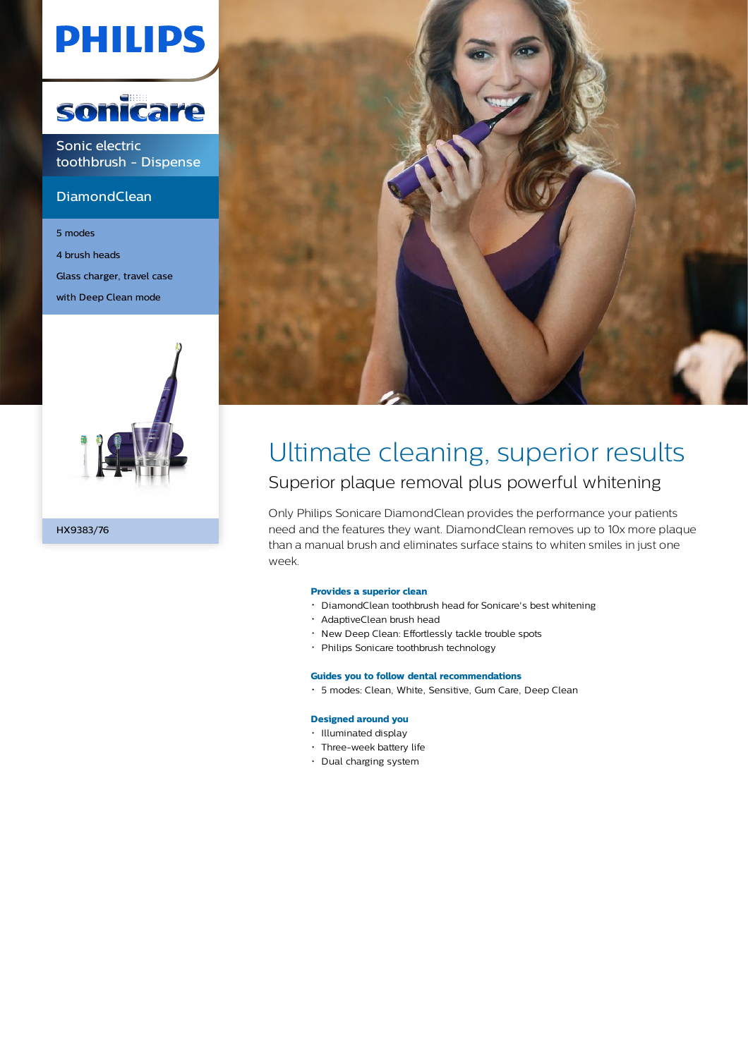# **PHILIPS**



Sonic electric toothbrush - Dispense

#### **DiamondClean**

5 modes 4 brush heads Glass charger, travel case with Deep Clean mode





### Ultimate cleaning, superior results Superior plaque removal plus powerful whitening

Only Philips Sonicare DiamondClean provides the performance your patients need and the features they want. DiamondClean removes up to 10x more plaque than a manual brush and eliminates surface stains to whiten smiles in just one week.

#### **Provides a superior clean**

- DiamondClean toothbrush head for Sonicare's best whitening
- AdaptiveClean brush head
- New Deep Clean: Effortlessly tackle trouble spots
- Philips Sonicare toothbrush technology

#### **Guides you to follow dental recommendations**

5 modes: Clean, White, Sensitive, Gum Care, Deep Clean

#### **Designed around you**

- Illuminated display
- Three-week battery life
- Dual charging system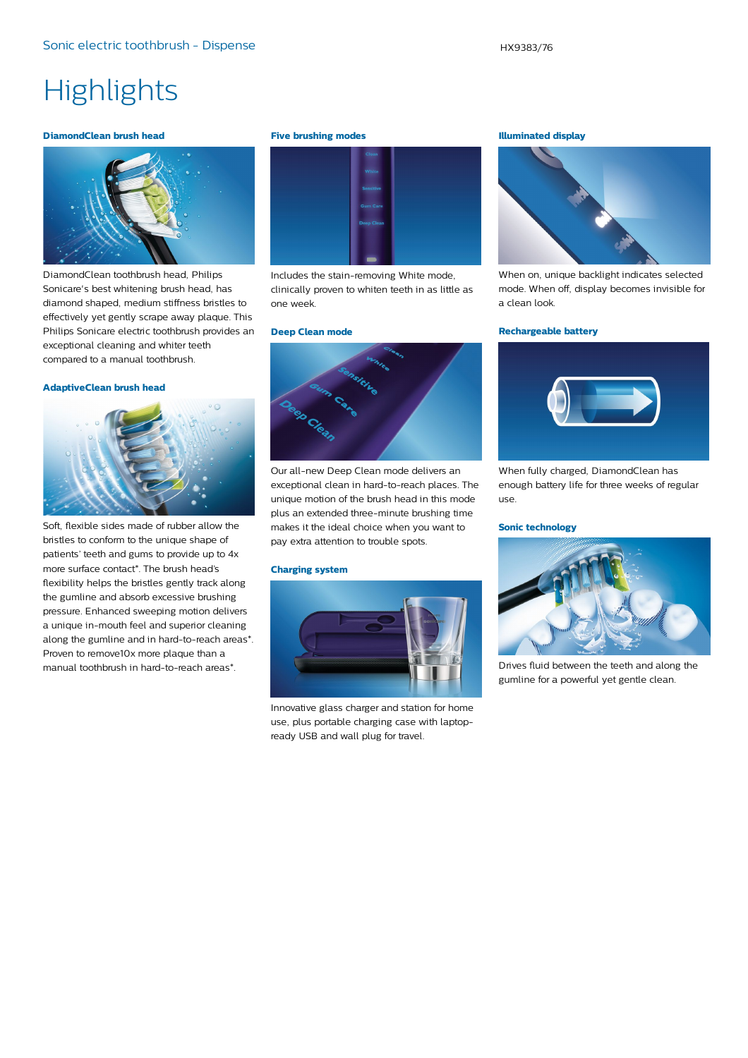## **Highlights**

#### **DiamondClean brush head**



DiamondClean toothbrush head, Philips Sonicare's best whitening brush head, has diamond shaped, medium stiffness bristles to effectively yet gently scrape away plaque. This Philips Sonicare electric toothbrush provides an exceptional cleaning and whiter teeth compared to a manual toothbrush.

#### **AdaptiveClean brush head**



Soft, flexible sides made of rubber allow the bristles to conform to the unique shape of patients' teeth and gums to provide up to 4x more surface contact\*. The brush head's flexibility helps the bristles gently track along the gumline and absorb excessive brushing pressure. Enhanced sweeping motion delivers a unique in-mouth feel and superior cleaning along the gumline and in hard-to-reach areas\*. Proven to remove10x more plaque than a manual toothbrush in hard-to-reach areas\*.

#### **Five brushing modes**



Includes the stain-removing White mode, clinically proven to whiten teeth in as little as one week.

#### **Deep Clean mode**



Our all-new Deep Clean mode delivers an exceptional clean in hard-to-reach places. The unique motion of the brush head in this mode plus an extended three-minute brushing time makes it the ideal choice when you want to pay extra attention to trouble spots.

#### **Charging system**



Innovative glass charger and station for home use, plus portable charging case with laptopready USB and wall plug for travel.

#### **Illuminated display**



When on, unique backlight indicates selected mode. When off, display becomes invisible for a clean look.

#### **Rechargeable battery**



When fully charged, DiamondClean has enough battery life for three weeks of regular use.

#### **Sonic technology**



Drives fluid between the teeth and along the gumline for a powerful yet gentle clean.